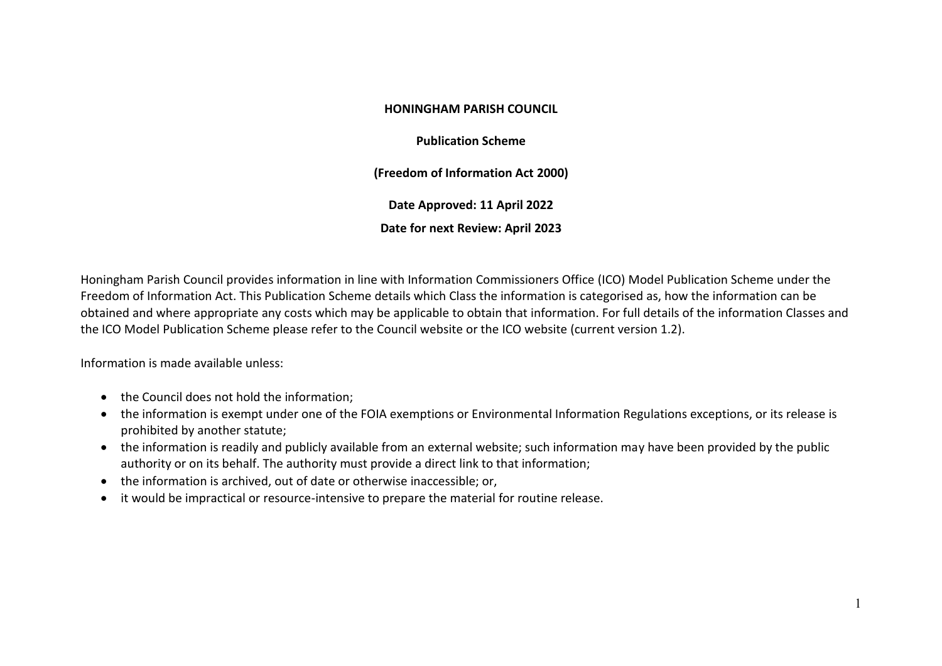## **HONINGHAM PARISH COUNCIL**

**Publication Scheme**

**(Freedom of Information Act 2000)**

**Date Approved: 11 April 2022**

**Date for next Review: April 2023**

Honingham Parish Council provides information in line with Information Commissioners Office (ICO) Model Publication Scheme under the Freedom of Information Act. This Publication Scheme details which Class the information is categorised as, how the information can be obtained and where appropriate any costs which may be applicable to obtain that information. For full details of the information Classes and the ICO Model Publication Scheme please refer to the Council website or the ICO website (current version 1.2).

Information is made available unless:

- the Council does not hold the information:
- the information is exempt under one of the FOIA exemptions or Environmental Information Regulations exceptions, or its release is prohibited by another statute;
- the information is readily and publicly available from an external website; such information may have been provided by the public authority or on its behalf. The authority must provide a direct link to that information;
- the information is archived, out of date or otherwise inaccessible; or,
- it would be impractical or resource-intensive to prepare the material for routine release.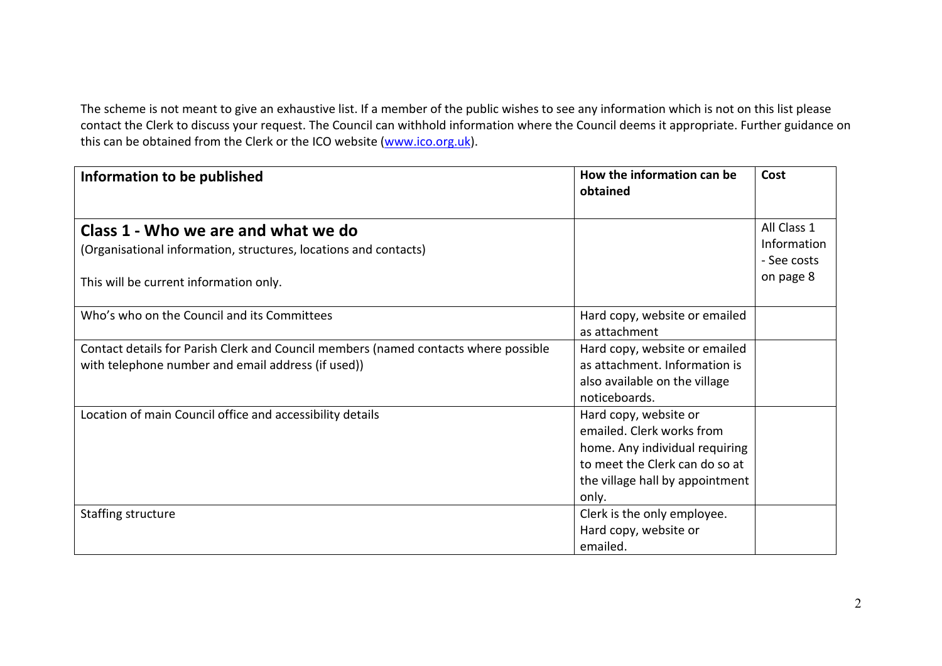The scheme is not meant to give an exhaustive list. If a member of the public wishes to see any information which is not on this list please contact the Clerk to discuss your request. The Council can withhold information where the Council deems it appropriate. Further guidance on this can be obtained from the Clerk or the ICO website [\(www.ico.org.uk\)](http://www.ico.org.uk/).

| Information to be published                                                         | How the information can be<br>obtained | Cost        |
|-------------------------------------------------------------------------------------|----------------------------------------|-------------|
|                                                                                     |                                        |             |
| Class 1 - Who we are and what we do                                                 |                                        | All Class 1 |
| (Organisational information, structures, locations and contacts)                    |                                        | Information |
|                                                                                     |                                        | - See costs |
| This will be current information only.                                              |                                        | on page 8   |
| Who's who on the Council and its Committees                                         | Hard copy, website or emailed          |             |
|                                                                                     | as attachment                          |             |
| Contact details for Parish Clerk and Council members (named contacts where possible | Hard copy, website or emailed          |             |
| with telephone number and email address (if used))                                  | as attachment. Information is          |             |
|                                                                                     | also available on the village          |             |
|                                                                                     | noticeboards.                          |             |
| Location of main Council office and accessibility details                           | Hard copy, website or                  |             |
|                                                                                     | emailed. Clerk works from              |             |
|                                                                                     | home. Any individual requiring         |             |
|                                                                                     | to meet the Clerk can do so at         |             |
|                                                                                     | the village hall by appointment        |             |
|                                                                                     | only.                                  |             |
| Staffing structure                                                                  | Clerk is the only employee.            |             |
|                                                                                     | Hard copy, website or                  |             |
|                                                                                     | emailed.                               |             |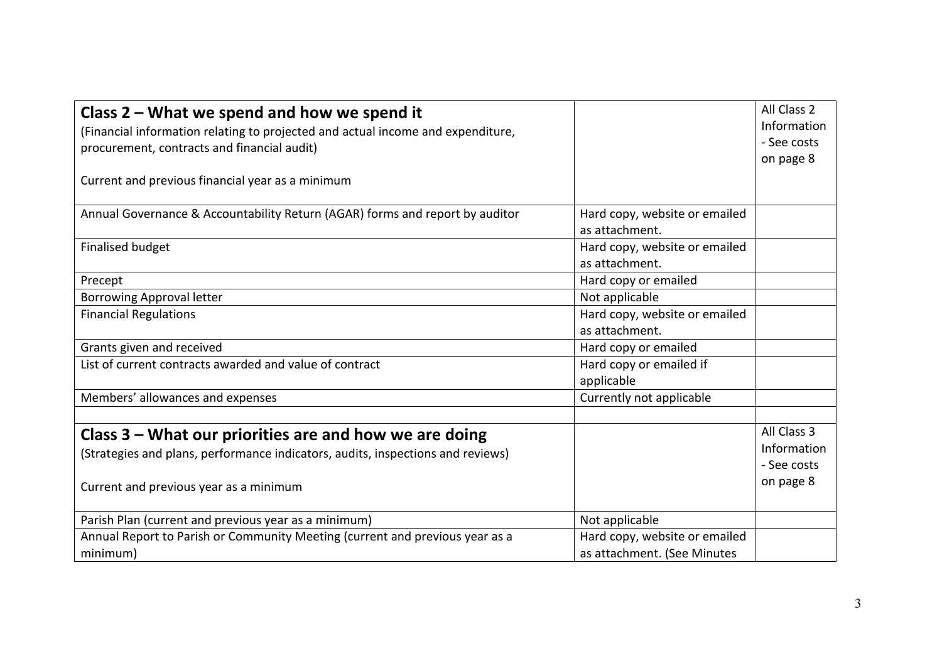| Class 2 – What we spend and how we spend it                                     |                               | All Class 2 |
|---------------------------------------------------------------------------------|-------------------------------|-------------|
| (Financial information relating to projected and actual income and expenditure, |                               | Information |
| procurement, contracts and financial audit)                                     |                               | - See costs |
|                                                                                 |                               | on page 8   |
| Current and previous financial year as a minimum                                |                               |             |
|                                                                                 |                               |             |
| Annual Governance & Accountability Return (AGAR) forms and report by auditor    | Hard copy, website or emailed |             |
|                                                                                 | as attachment.                |             |
| <b>Finalised budget</b>                                                         | Hard copy, website or emailed |             |
|                                                                                 | as attachment.                |             |
| Precept                                                                         | Hard copy or emailed          |             |
| <b>Borrowing Approval letter</b>                                                | Not applicable                |             |
| <b>Financial Regulations</b>                                                    | Hard copy, website or emailed |             |
|                                                                                 | as attachment.                |             |
| Grants given and received                                                       | Hard copy or emailed          |             |
| List of current contracts awarded and value of contract                         | Hard copy or emailed if       |             |
|                                                                                 | applicable                    |             |
| Members' allowances and expenses                                                | Currently not applicable      |             |
|                                                                                 |                               |             |
| Class 3 – What our priorities are and how we are doing                          |                               | All Class 3 |
| (Strategies and plans, performance indicators, audits, inspections and reviews) |                               | Information |
|                                                                                 |                               | - See costs |
| Current and previous year as a minimum                                          |                               | on page 8   |
|                                                                                 |                               |             |
| Parish Plan (current and previous year as a minimum)                            | Not applicable                |             |
| Annual Report to Parish or Community Meeting (current and previous year as a    | Hard copy, website or emailed |             |
| minimum)                                                                        | as attachment. (See Minutes   |             |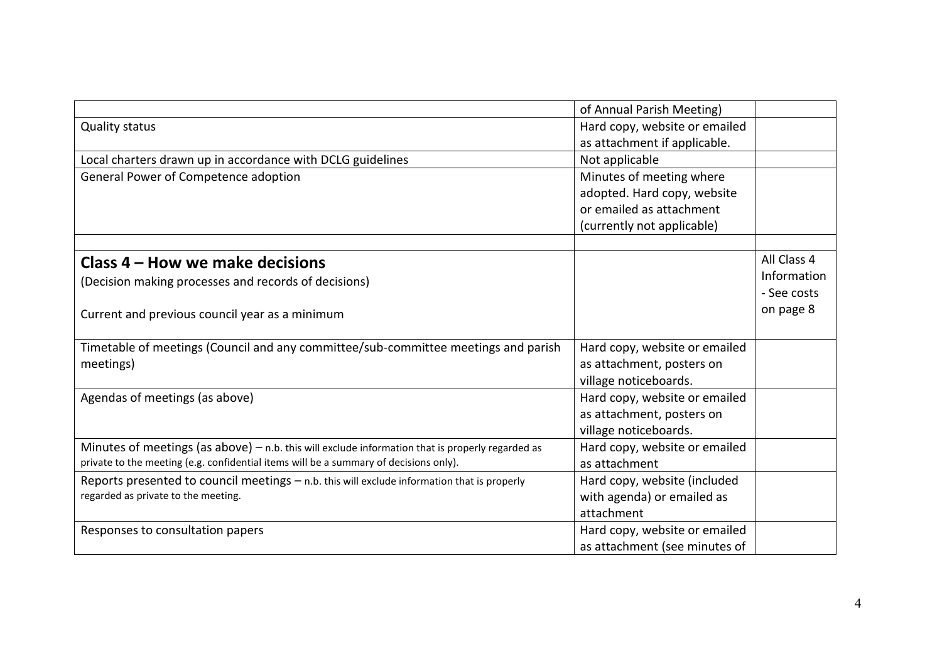|                                                                                                    | of Annual Parish Meeting)     |             |
|----------------------------------------------------------------------------------------------------|-------------------------------|-------------|
| <b>Quality status</b>                                                                              | Hard copy, website or emailed |             |
|                                                                                                    | as attachment if applicable.  |             |
| Local charters drawn up in accordance with DCLG guidelines                                         | Not applicable                |             |
| General Power of Competence adoption                                                               | Minutes of meeting where      |             |
|                                                                                                    | adopted. Hard copy, website   |             |
|                                                                                                    | or emailed as attachment      |             |
|                                                                                                    | (currently not applicable)    |             |
|                                                                                                    |                               |             |
| Class 4 – How we make decisions                                                                    |                               | All Class 4 |
| (Decision making processes and records of decisions)                                               |                               | Information |
|                                                                                                    |                               | - See costs |
| Current and previous council year as a minimum                                                     |                               | on page 8   |
|                                                                                                    |                               |             |
| Timetable of meetings (Council and any committee/sub-committee meetings and parish                 | Hard copy, website or emailed |             |
| meetings)                                                                                          | as attachment, posters on     |             |
|                                                                                                    | village noticeboards.         |             |
| Agendas of meetings (as above)                                                                     | Hard copy, website or emailed |             |
|                                                                                                    | as attachment, posters on     |             |
|                                                                                                    | village noticeboards.         |             |
| Minutes of meetings (as above) $-$ n.b. this will exclude information that is properly regarded as | Hard copy, website or emailed |             |
| private to the meeting (e.g. confidential items will be a summary of decisions only).              | as attachment                 |             |
| Reports presented to council meetings $-$ n.b. this will exclude information that is properly      | Hard copy, website (included  |             |
| regarded as private to the meeting.                                                                | with agenda) or emailed as    |             |
|                                                                                                    | attachment                    |             |
| Responses to consultation papers                                                                   | Hard copy, website or emailed |             |
|                                                                                                    | as attachment (see minutes of |             |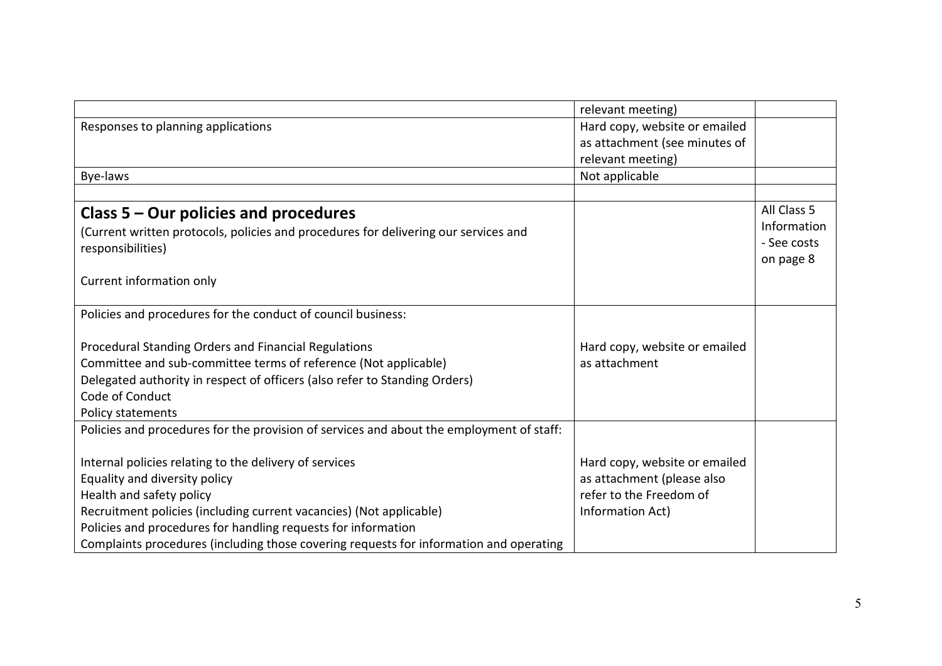|                                                                                          | relevant meeting)             |             |
|------------------------------------------------------------------------------------------|-------------------------------|-------------|
| Responses to planning applications                                                       | Hard copy, website or emailed |             |
|                                                                                          | as attachment (see minutes of |             |
|                                                                                          | relevant meeting)             |             |
| Bye-laws                                                                                 | Not applicable                |             |
|                                                                                          |                               |             |
| Class $5 -$ Our policies and procedures                                                  |                               | All Class 5 |
| (Current written protocols, policies and procedures for delivering our services and      |                               | Information |
| responsibilities)                                                                        |                               | - See costs |
|                                                                                          |                               | on page 8   |
| Current information only                                                                 |                               |             |
|                                                                                          |                               |             |
| Policies and procedures for the conduct of council business:                             |                               |             |
|                                                                                          |                               |             |
| Procedural Standing Orders and Financial Regulations                                     | Hard copy, website or emailed |             |
| Committee and sub-committee terms of reference (Not applicable)                          | as attachment                 |             |
| Delegated authority in respect of officers (also refer to Standing Orders)               |                               |             |
| Code of Conduct                                                                          |                               |             |
| Policy statements                                                                        |                               |             |
| Policies and procedures for the provision of services and about the employment of staff: |                               |             |
|                                                                                          |                               |             |
| Internal policies relating to the delivery of services                                   | Hard copy, website or emailed |             |
| Equality and diversity policy                                                            | as attachment (please also    |             |
| Health and safety policy                                                                 | refer to the Freedom of       |             |
| Recruitment policies (including current vacancies) (Not applicable)                      | Information Act)              |             |
| Policies and procedures for handling requests for information                            |                               |             |
| Complaints procedures (including those covering requests for information and operating   |                               |             |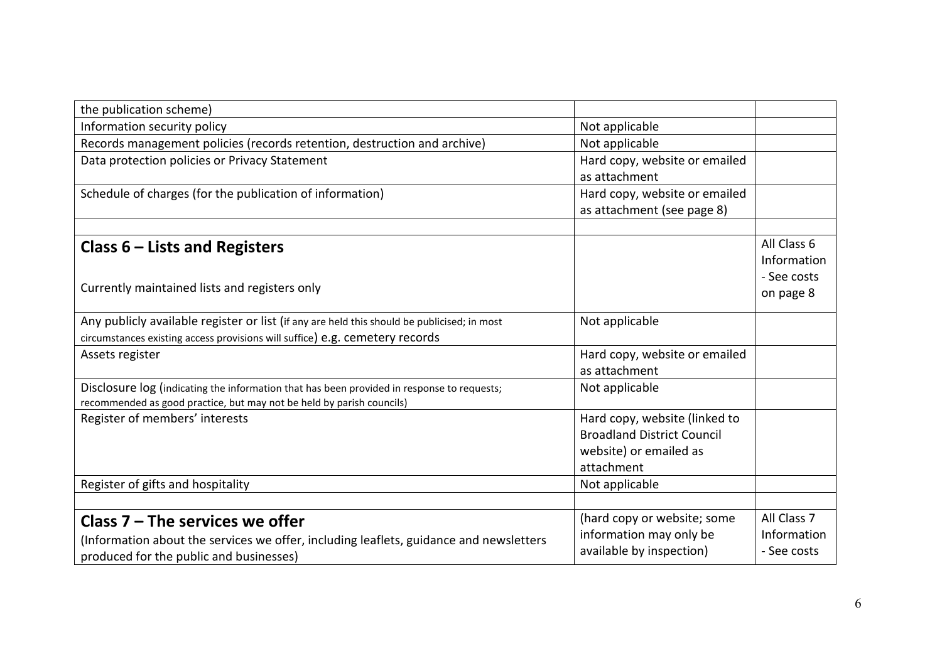| the publication scheme)                                                                     |                                   |             |
|---------------------------------------------------------------------------------------------|-----------------------------------|-------------|
| Information security policy                                                                 | Not applicable                    |             |
| Records management policies (records retention, destruction and archive)                    | Not applicable                    |             |
| Data protection policies or Privacy Statement                                               | Hard copy, website or emailed     |             |
|                                                                                             | as attachment                     |             |
| Schedule of charges (for the publication of information)                                    | Hard copy, website or emailed     |             |
|                                                                                             | as attachment (see page 8)        |             |
|                                                                                             |                                   |             |
| Class $6$ – Lists and Registers                                                             |                                   | All Class 6 |
|                                                                                             |                                   | Information |
| Currently maintained lists and registers only                                               |                                   | - See costs |
|                                                                                             |                                   | on page 8   |
| Any publicly available register or list (if any are held this should be publicised; in most | Not applicable                    |             |
| circumstances existing access provisions will suffice) e.g. cemetery records                |                                   |             |
| Assets register                                                                             | Hard copy, website or emailed     |             |
|                                                                                             | as attachment                     |             |
| Disclosure log (indicating the information that has been provided in response to requests;  | Not applicable                    |             |
| recommended as good practice, but may not be held by parish councils)                       |                                   |             |
| Register of members' interests                                                              | Hard copy, website (linked to     |             |
|                                                                                             | <b>Broadland District Council</b> |             |
|                                                                                             | website) or emailed as            |             |
|                                                                                             | attachment                        |             |
| Register of gifts and hospitality                                                           | Not applicable                    |             |
|                                                                                             |                                   |             |
| Class $7$ – The services we offer                                                           | (hard copy or website; some       | All Class 7 |
| (Information about the services we offer, including leaflets, guidance and newsletters      | information may only be           | Information |
| produced for the public and businesses)                                                     | available by inspection)          | - See costs |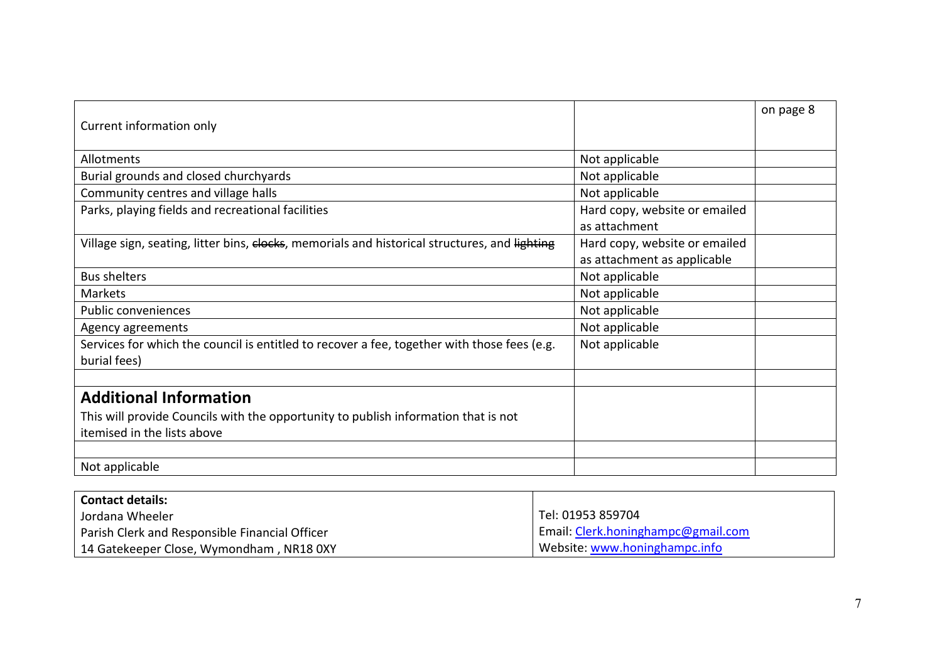|                                                                                               |                               | on page 8 |
|-----------------------------------------------------------------------------------------------|-------------------------------|-----------|
| Current information only                                                                      |                               |           |
|                                                                                               |                               |           |
| Allotments                                                                                    | Not applicable                |           |
| Burial grounds and closed churchyards                                                         | Not applicable                |           |
| Community centres and village halls                                                           | Not applicable                |           |
| Parks, playing fields and recreational facilities                                             | Hard copy, website or emailed |           |
|                                                                                               | as attachment                 |           |
| Village sign, seating, litter bins, elocks, memorials and historical structures, and lighting | Hard copy, website or emailed |           |
|                                                                                               | as attachment as applicable   |           |
| <b>Bus shelters</b>                                                                           | Not applicable                |           |
| Markets                                                                                       | Not applicable                |           |
| Public conveniences                                                                           | Not applicable                |           |
| Agency agreements                                                                             | Not applicable                |           |
| Services for which the council is entitled to recover a fee, together with those fees (e.g.   | Not applicable                |           |
| burial fees)                                                                                  |                               |           |
|                                                                                               |                               |           |
| <b>Additional Information</b>                                                                 |                               |           |
| This will provide Councils with the opportunity to publish information that is not            |                               |           |
| itemised in the lists above                                                                   |                               |           |
|                                                                                               |                               |           |
| Not applicable                                                                                |                               |           |

| <b>Contact details:</b>                        |                                    |
|------------------------------------------------|------------------------------------|
| Jordana Wheeler                                | Tel: 01953 859704                  |
| Parish Clerk and Responsible Financial Officer | Email: Clerk.honinghampc@gmail.com |
| 14 Gatekeeper Close, Wymondham, NR18 0XY       | Website: www.honinghampc.info      |